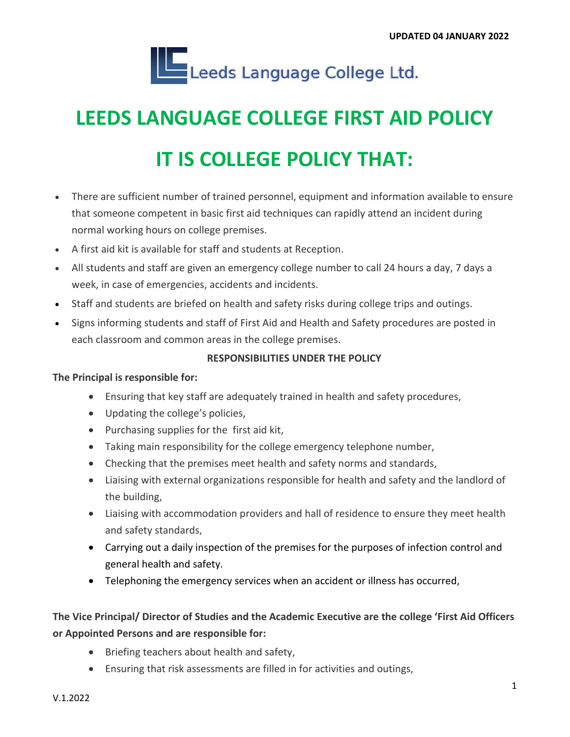

# **LEEDS LANGUAGE COLLEGE FIRST AID POLICY**

# **IT IS COLLEGE POLICY THAT:**

- There are sufficient number of trained personnel, equipment and information available to ensure that someone competent in basic first aid techniques can rapidly attend an incident during normal working hours on college premises.
- A first aid kit is available for staff and students at Reception.
- All students and staff are given an emergency college number to call 24 hours a day, 7 days a week, in case of emergencies, accidents and incidents.
- Staff and students are briefed on health and safety risks during college trips and outings.
- Signs informing students and staff of First Aid and Health and Safety procedures are posted in each classroom and common areas in the college premises.

#### **RESPONSIBILITIES UNDER THE POLICY**

#### **The Principal is responsible for:**

- Ensuring that key staff are adequately trained in health and safety procedures,
- Updating the college's policies,
- Purchasing supplies for the first aid kit,
- Taking main responsibility for the college emergency telephone number,
- Checking that the premises meet health and safety norms and standards,
- Liaising with external organizations responsible for health and safety and the landlord of the building,
- Liaising with accommodation providers and hall of residence to ensure they meet health and safety standards,
- Carrying out a daily inspection of the premises for the purposes of infection control and general health and safety.
- Telephoning the emergency services when an accident or illness has occurred,

## **The Vice Principal/ Director of Studies and the Academic Executive are the college 'First Aid Officers or Appointed Persons and are responsible for:**

- Briefing teachers about health and safety,
- Ensuring that risk assessments are filled in for activities and outings,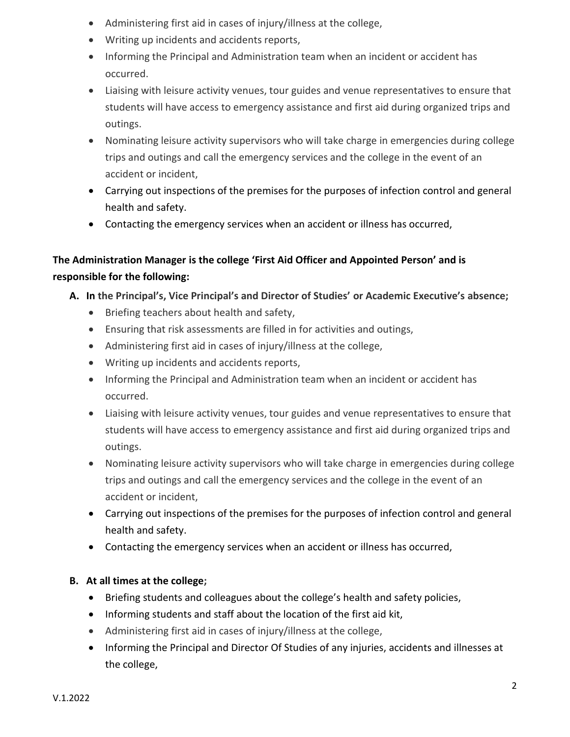- Administering first aid in cases of injury/illness at the college,
- Writing up incidents and accidents reports,
- Informing the Principal and Administration team when an incident or accident has occurred.
- Liaising with leisure activity venues, tour guides and venue representatives to ensure that students will have access to emergency assistance and first aid during organized trips and outings.
- Nominating leisure activity supervisors who will take charge in emergencies during college trips and outings and call the emergency services and the college in the event of an accident or incident,
- Carrying out inspections of the premises for the purposes of infection control and general health and safety.
- Contacting the emergency services when an accident or illness has occurred,

# **The Administration Manager is the college 'First Aid Officer and Appointed Person' and is responsible for the following:**

- **A. In the Principal's, Vice Principal's and Director of Studies' or Academic Executive's absence;**
	- Briefing teachers about health and safety,
	- Ensuring that risk assessments are filled in for activities and outings,
	- Administering first aid in cases of injury/illness at the college,
	- Writing up incidents and accidents reports,
	- Informing the Principal and Administration team when an incident or accident has occurred.
	- Liaising with leisure activity venues, tour guides and venue representatives to ensure that students will have access to emergency assistance and first aid during organized trips and outings.
	- Nominating leisure activity supervisors who will take charge in emergencies during college trips and outings and call the emergency services and the college in the event of an accident or incident,
	- Carrying out inspections of the premises for the purposes of infection control and general health and safety.
	- Contacting the emergency services when an accident or illness has occurred,

### **B. At all times at the college;**

- Briefing students and colleagues about the college's health and safety policies,
- Informing students and staff about the location of the first aid kit,
- Administering first aid in cases of injury/illness at the college,
- Informing the Principal and Director Of Studies of any injuries, accidents and illnesses at the college,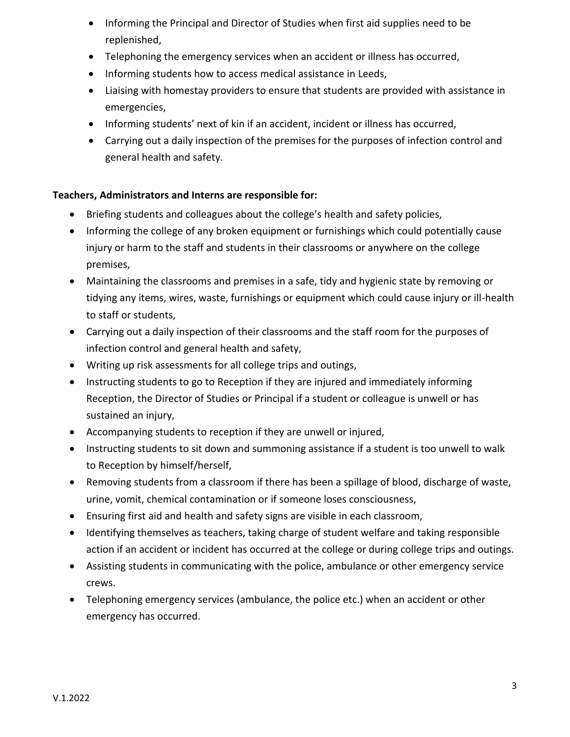- Informing the Principal and Director of Studies when first aid supplies need to be replenished,
- Telephoning the emergency services when an accident or illness has occurred,
- Informing students how to access medical assistance in Leeds,
- Liaising with homestay providers to ensure that students are provided with assistance in emergencies,
- Informing students' next of kin if an accident, incident or illness has occurred,
- Carrying out a daily inspection of the premises for the purposes of infection control and general health and safety.

### **Teachers, Administrators and Interns are responsible for:**

- Briefing students and colleagues about the college's health and safety policies,
- Informing the college of any broken equipment or furnishings which could potentially cause injury or harm to the staff and students in their classrooms or anywhere on the college premises,
- Maintaining the classrooms and premises in a safe, tidy and hygienic state by removing or tidying any items, wires, waste, furnishings or equipment which could cause injury or ill-health to staff or students,
- Carrying out a daily inspection of their classrooms and the staff room for the purposes of infection control and general health and safety,
- Writing up risk assessments for all college trips and outings,
- Instructing students to go to Reception if they are injured and immediately informing Reception, the Director of Studies or Principal if a student or colleague is unwell or has sustained an injury,
- Accompanying students to reception if they are unwell or injured,
- Instructing students to sit down and summoning assistance if a student is too unwell to walk to Reception by himself/herself,
- Removing students from a classroom if there has been a spillage of blood, discharge of waste, urine, vomit, chemical contamination or if someone loses consciousness,
- Ensuring first aid and health and safety signs are visible in each classroom,
- Identifying themselves as teachers, taking charge of student welfare and taking responsible action if an accident or incident has occurred at the college or during college trips and outings.
- Assisting students in communicating with the police, ambulance or other emergency service crews.
- Telephoning emergency services (ambulance, the police etc.) when an accident or other emergency has occurred.